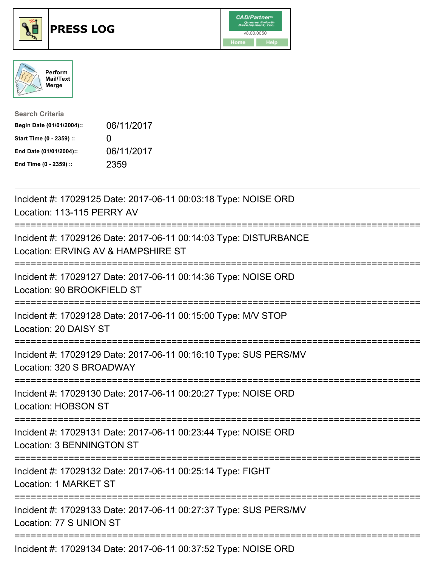





| <b>Search Criteria</b>    |                   |
|---------------------------|-------------------|
| Begin Date (01/01/2004):: | 06/11/2017        |
| Start Time (0 - 2359) ::  | $\mathbf{\Omega}$ |
| End Date (01/01/2004)::   | 06/11/2017        |
| End Time (0 - 2359) ::    | 2359              |

| Incident #: 17029125 Date: 2017-06-11 00:03:18 Type: NOISE ORD<br>Location: 113-115 PERRY AV                     |
|------------------------------------------------------------------------------------------------------------------|
| Incident #: 17029126 Date: 2017-06-11 00:14:03 Type: DISTURBANCE<br>Location: ERVING AV & HAMPSHIRE ST           |
| Incident #: 17029127 Date: 2017-06-11 00:14:36 Type: NOISE ORD<br>Location: 90 BROOKFIELD ST<br>---------------- |
| Incident #: 17029128 Date: 2017-06-11 00:15:00 Type: M/V STOP<br>Location: 20 DAISY ST                           |
| Incident #: 17029129 Date: 2017-06-11 00:16:10 Type: SUS PERS/MV<br>Location: 320 S BROADWAY                     |
| Incident #: 17029130 Date: 2017-06-11 00:20:27 Type: NOISE ORD<br>Location: HOBSON ST                            |
| Incident #: 17029131 Date: 2017-06-11 00:23:44 Type: NOISE ORD<br>Location: 3 BENNINGTON ST                      |
| Incident #: 17029132 Date: 2017-06-11 00:25:14 Type: FIGHT<br>Location: 1 MARKET ST                              |
| Incident #: 17029133 Date: 2017-06-11 00:27:37 Type: SUS PERS/MV<br>Location: 77 S UNION ST                      |
| Incident #: 17029134 Date: 2017-06-11 00:37:52 Type: NOISE ORD                                                   |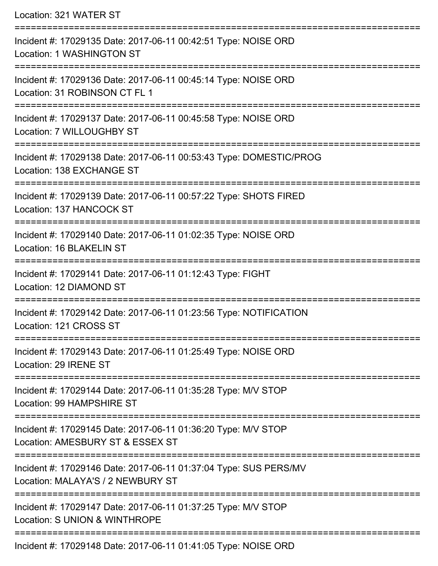| Location: 321 WATER ST<br>==================================                                                                            |
|-----------------------------------------------------------------------------------------------------------------------------------------|
| Incident #: 17029135 Date: 2017-06-11 00:42:51 Type: NOISE ORD<br>Location: 1 WASHINGTON ST<br>--------------------<br>================ |
| Incident #: 17029136 Date: 2017-06-11 00:45:14 Type: NOISE ORD<br>Location: 31 ROBINSON CT FL 1                                         |
| Incident #: 17029137 Date: 2017-06-11 00:45:58 Type: NOISE ORD<br>Location: 7 WILLOUGHBY ST                                             |
| Incident #: 17029138 Date: 2017-06-11 00:53:43 Type: DOMESTIC/PROG<br>Location: 138 EXCHANGE ST                                         |
| Incident #: 17029139 Date: 2017-06-11 00:57:22 Type: SHOTS FIRED<br>Location: 137 HANCOCK ST                                            |
| Incident #: 17029140 Date: 2017-06-11 01:02:35 Type: NOISE ORD<br>Location: 16 BLAKELIN ST                                              |
| Incident #: 17029141 Date: 2017-06-11 01:12:43 Type: FIGHT<br>Location: 12 DIAMOND ST                                                   |
| Incident #: 17029142 Date: 2017-06-11 01:23:56 Type: NOTIFICATION<br>Location: 121 CROSS ST                                             |
| Incident #: 17029143 Date: 2017-06-11 01:25:49 Type: NOISE ORD<br>Location: 29 IRENE ST                                                 |
| Incident #: 17029144 Date: 2017-06-11 01:35:28 Type: M/V STOP<br>Location: 99 HAMPSHIRE ST                                              |
| Incident #: 17029145 Date: 2017-06-11 01:36:20 Type: M/V STOP<br>Location: AMESBURY ST & ESSEX ST                                       |
| Incident #: 17029146 Date: 2017-06-11 01:37:04 Type: SUS PERS/MV<br>Location: MALAYA'S / 2 NEWBURY ST                                   |
| Incident #: 17029147 Date: 2017-06-11 01:37:25 Type: M/V STOP<br>Location: S UNION & WINTHROPE                                          |
|                                                                                                                                         |

Incident #: 17029148 Date: 2017-06-11 01:41:05 Type: NOISE ORD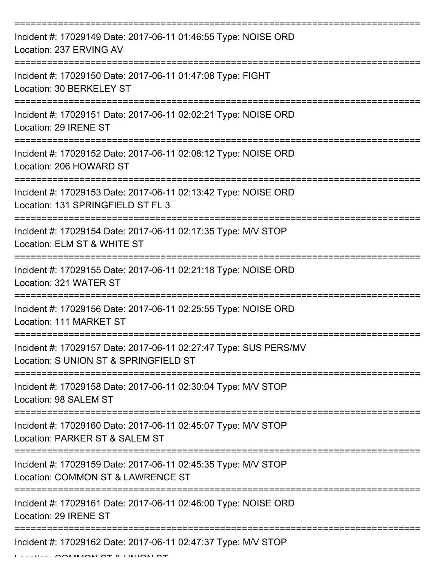| Incident #: 17029149 Date: 2017-06-11 01:46:55 Type: NOISE ORD<br>Location: 237 ERVING AV                                   |
|-----------------------------------------------------------------------------------------------------------------------------|
| Incident #: 17029150 Date: 2017-06-11 01:47:08 Type: FIGHT<br>Location: 30 BERKELEY ST                                      |
| Incident #: 17029151 Date: 2017-06-11 02:02:21 Type: NOISE ORD<br>Location: 29 IRENE ST                                     |
| Incident #: 17029152 Date: 2017-06-11 02:08:12 Type: NOISE ORD<br>Location: 206 HOWARD ST                                   |
| Incident #: 17029153 Date: 2017-06-11 02:13:42 Type: NOISE ORD<br>Location: 131 SPRINGFIELD ST FL 3                         |
| Incident #: 17029154 Date: 2017-06-11 02:17:35 Type: M/V STOP<br>Location: ELM ST & WHITE ST                                |
| Incident #: 17029155 Date: 2017-06-11 02:21:18 Type: NOISE ORD<br>Location: 321 WATER ST                                    |
| Incident #: 17029156 Date: 2017-06-11 02:25:55 Type: NOISE ORD<br>Location: 111 MARKET ST                                   |
| Incident #: 17029157 Date: 2017-06-11 02:27:47 Type: SUS PERS/MV<br>Location: S UNION ST & SPRINGFIELD ST                   |
| Incident #: 17029158 Date: 2017-06-11 02:30:04 Type: M/V STOP<br>Location: 98 SALEM ST                                      |
| Incident #: 17029160 Date: 2017-06-11 02:45:07 Type: M/V STOP<br>Location: PARKER ST & SALEM ST                             |
| Incident #: 17029159 Date: 2017-06-11 02:45:35 Type: M/V STOP<br>Location: COMMON ST & LAWRENCE ST                          |
| ================<br>------------<br>Incident #: 17029161 Date: 2017-06-11 02:46:00 Type: NOISE ORD<br>Location: 29 IRENE ST |
| Incident #: 17029162 Date: 2017-06-11 02:47:37 Type: M/V STOP                                                               |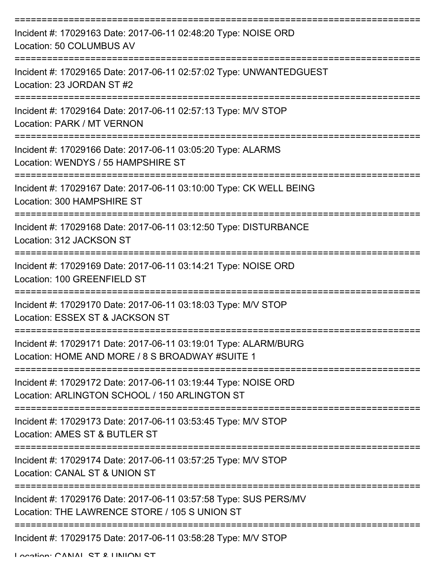| Incident #: 17029163 Date: 2017-06-11 02:48:20 Type: NOISE ORD<br>Location: 50 COLUMBUS AV                                           |
|--------------------------------------------------------------------------------------------------------------------------------------|
| Incident #: 17029165 Date: 2017-06-11 02:57:02 Type: UNWANTEDGUEST<br>Location: 23 JORDAN ST #2                                      |
| Incident #: 17029164 Date: 2017-06-11 02:57:13 Type: M/V STOP<br>Location: PARK / MT VERNON                                          |
| Incident #: 17029166 Date: 2017-06-11 03:05:20 Type: ALARMS<br>Location: WENDYS / 55 HAMPSHIRE ST                                    |
| Incident #: 17029167 Date: 2017-06-11 03:10:00 Type: CK WELL BEING<br>Location: 300 HAMPSHIRE ST                                     |
| ====================================<br>Incident #: 17029168 Date: 2017-06-11 03:12:50 Type: DISTURBANCE<br>Location: 312 JACKSON ST |
| Incident #: 17029169 Date: 2017-06-11 03:14:21 Type: NOISE ORD<br>Location: 100 GREENFIELD ST                                        |
| Incident #: 17029170 Date: 2017-06-11 03:18:03 Type: M/V STOP<br>Location: ESSEX ST & JACKSON ST                                     |
| Incident #: 17029171 Date: 2017-06-11 03:19:01 Type: ALARM/BURG<br>Location: HOME AND MORE / 8 S BROADWAY #SUITE 1                   |
| Incident #: 17029172 Date: 2017-06-11 03:19:44 Type: NOISE ORD<br>Location: ARLINGTON SCHOOL / 150 ARLINGTON ST                      |
| Incident #: 17029173 Date: 2017-06-11 03:53:45 Type: M/V STOP<br>Location: AMES ST & BUTLER ST                                       |
| Incident #: 17029174 Date: 2017-06-11 03:57:25 Type: M/V STOP<br>Location: CANAL ST & UNION ST                                       |
| Incident #: 17029176 Date: 2017-06-11 03:57:58 Type: SUS PERS/MV<br>Location: THE LAWRENCE STORE / 105 S UNION ST                    |
| Incident #: 17029175 Date: 2017-06-11 03:58:28 Type: M/V STOP                                                                        |

Location: CANIAL ST & HINHONI ST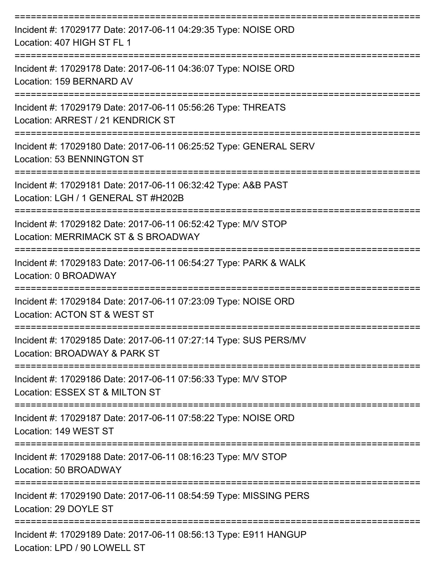| Incident #: 17029177 Date: 2017-06-11 04:29:35 Type: NOISE ORD<br>Location: 407 HIGH ST FL 1                   |
|----------------------------------------------------------------------------------------------------------------|
| Incident #: 17029178 Date: 2017-06-11 04:36:07 Type: NOISE ORD<br>Location: 159 BERNARD AV<br>---------------- |
| Incident #: 17029179 Date: 2017-06-11 05:56:26 Type: THREATS<br>Location: ARREST / 21 KENDRICK ST              |
| Incident #: 17029180 Date: 2017-06-11 06:25:52 Type: GENERAL SERV<br>Location: 53 BENNINGTON ST                |
| Incident #: 17029181 Date: 2017-06-11 06:32:42 Type: A&B PAST<br>Location: LGH / 1 GENERAL ST #H202B           |
| Incident #: 17029182 Date: 2017-06-11 06:52:42 Type: M/V STOP<br>Location: MERRIMACK ST & S BROADWAY           |
| Incident #: 17029183 Date: 2017-06-11 06:54:27 Type: PARK & WALK<br>Location: 0 BROADWAY                       |
| Incident #: 17029184 Date: 2017-06-11 07:23:09 Type: NOISE ORD<br>Location: ACTON ST & WEST ST                 |
| Incident #: 17029185 Date: 2017-06-11 07:27:14 Type: SUS PERS/MV<br>Location: BROADWAY & PARK ST               |
| Incident #: 17029186 Date: 2017-06-11 07:56:33 Type: M/V STOP<br>Location: ESSEX ST & MILTON ST                |
| Incident #: 17029187 Date: 2017-06-11 07:58:22 Type: NOISE ORD<br>Location: 149 WEST ST                        |
| Incident #: 17029188 Date: 2017-06-11 08:16:23 Type: M/V STOP<br>Location: 50 BROADWAY                         |
| Incident #: 17029190 Date: 2017-06-11 08:54:59 Type: MISSING PERS<br>Location: 29 DOYLE ST                     |
| Incident #: 17029189 Date: 2017-06-11 08:56:13 Type: E911 HANGUP<br>Location: LPD / 90 LOWELL ST               |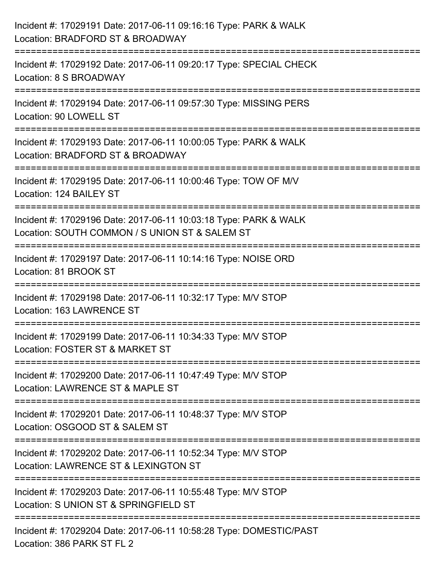| Incident #: 17029191 Date: 2017-06-11 09:16:16 Type: PARK & WALK<br>Location: BRADFORD ST & BROADWAY                                                                          |
|-------------------------------------------------------------------------------------------------------------------------------------------------------------------------------|
| Incident #: 17029192 Date: 2017-06-11 09:20:17 Type: SPECIAL CHECK<br>Location: 8 S BROADWAY                                                                                  |
| Incident #: 17029194 Date: 2017-06-11 09:57:30 Type: MISSING PERS<br>Location: 90 LOWELL ST<br>-----------------------                                                        |
| ================================<br>Incident #: 17029193 Date: 2017-06-11 10:00:05 Type: PARK & WALK<br>Location: BRADFORD ST & BROADWAY                                      |
| Incident #: 17029195 Date: 2017-06-11 10:00:46 Type: TOW OF M/V<br>Location: 124 BAILEY ST<br>:==============================                                                 |
| Incident #: 17029196 Date: 2017-06-11 10:03:18 Type: PARK & WALK<br>Location: SOUTH COMMON / S UNION ST & SALEM ST<br>===================================<br>---------------- |
| Incident #: 17029197 Date: 2017-06-11 10:14:16 Type: NOISE ORD<br>Location: 81 BROOK ST                                                                                       |
| Incident #: 17029198 Date: 2017-06-11 10:32:17 Type: M/V STOP<br>Location: 163 LAWRENCE ST                                                                                    |
| Incident #: 17029199 Date: 2017-06-11 10:34:33 Type: M/V STOP<br>Location: FOSTER ST & MARKET ST                                                                              |
| Incident #: 17029200 Date: 2017-06-11 10:47:49 Type: M/V STOP<br>Location: LAWRENCE ST & MAPLE ST                                                                             |
| Incident #: 17029201 Date: 2017-06-11 10:48:37 Type: M/V STOP<br>Location: OSGOOD ST & SALEM ST                                                                               |
| Incident #: 17029202 Date: 2017-06-11 10:52:34 Type: M/V STOP<br>Location: LAWRENCE ST & LEXINGTON ST                                                                         |
| Incident #: 17029203 Date: 2017-06-11 10:55:48 Type: M/V STOP<br>Location: S UNION ST & SPRINGFIELD ST                                                                        |
| Incident #: 17029204 Date: 2017-06-11 10:58:28 Type: DOMESTIC/PAST<br>Location: 386 PARK ST FL 2                                                                              |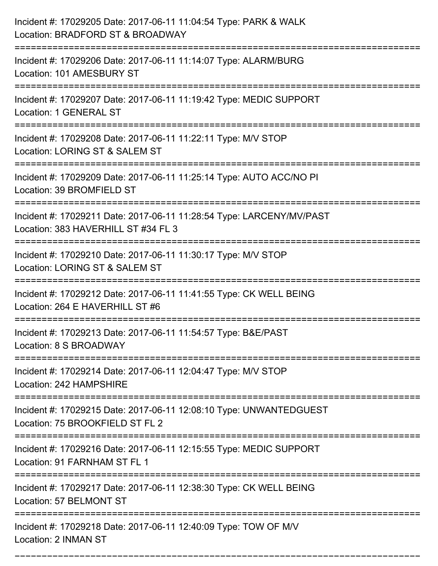| Incident #: 17029205 Date: 2017-06-11 11:04:54 Type: PARK & WALK<br>Location: BRADFORD ST & BROADWAY<br>======================== |
|----------------------------------------------------------------------------------------------------------------------------------|
| Incident #: 17029206 Date: 2017-06-11 11:14:07 Type: ALARM/BURG<br>Location: 101 AMESBURY ST                                     |
| Incident #: 17029207 Date: 2017-06-11 11:19:42 Type: MEDIC SUPPORT<br>Location: 1 GENERAL ST<br>:=======================         |
| Incident #: 17029208 Date: 2017-06-11 11:22:11 Type: M/V STOP<br>Location: LORING ST & SALEM ST                                  |
| Incident #: 17029209 Date: 2017-06-11 11:25:14 Type: AUTO ACC/NO PI<br>Location: 39 BROMFIELD ST                                 |
| Incident #: 17029211 Date: 2017-06-11 11:28:54 Type: LARCENY/MV/PAST<br>Location: 383 HAVERHILL ST #34 FL 3                      |
| Incident #: 17029210 Date: 2017-06-11 11:30:17 Type: M/V STOP<br>Location: LORING ST & SALEM ST<br>-------------                 |
| Incident #: 17029212 Date: 2017-06-11 11:41:55 Type: CK WELL BEING<br>Location: 264 E HAVERHILL ST #6                            |
| Incident #: 17029213 Date: 2017-06-11 11:54:57 Type: B&E/PAST<br>Location: 8 S BROADWAY                                          |
| Incident #: 17029214 Date: 2017-06-11 12:04:47 Type: M/V STOP<br>Location: 242 HAMPSHIRE<br>--------------------------------     |
| Incident #: 17029215 Date: 2017-06-11 12:08:10 Type: UNWANTEDGUEST<br>Location: 75 BROOKFIELD ST FL 2                            |
| Incident #: 17029216 Date: 2017-06-11 12:15:55 Type: MEDIC SUPPORT<br>Location: 91 FARNHAM ST FL 1                               |
| Incident #: 17029217 Date: 2017-06-11 12:38:30 Type: CK WELL BEING<br>Location: 57 BELMONT ST                                    |
| Incident #: 17029218 Date: 2017-06-11 12:40:09 Type: TOW OF M/V<br>Location: 2 INMAN ST                                          |

===========================================================================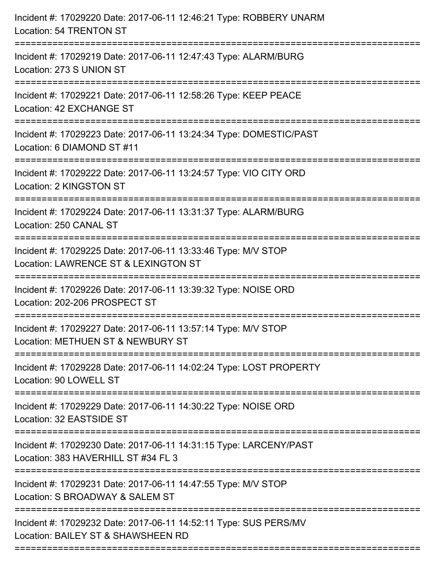| Location: 54 TRENTON ST                                                                                                         |
|---------------------------------------------------------------------------------------------------------------------------------|
| Incident #: 17029219 Date: 2017-06-11 12:47:43 Type: ALARM/BURG<br>Location: 273 S UNION ST                                     |
| Incident #: 17029221 Date: 2017-06-11 12:58:26 Type: KEEP PEACE<br>Location: 42 EXCHANGE ST                                     |
| Incident #: 17029223 Date: 2017-06-11 13:24:34 Type: DOMESTIC/PAST<br>Location: 6 DIAMOND ST #11                                |
| Incident #: 17029222 Date: 2017-06-11 13:24:57 Type: VIO CITY ORD<br>Location: 2 KINGSTON ST<br>------------------------------- |
| Incident #: 17029224 Date: 2017-06-11 13:31:37 Type: ALARM/BURG<br>Location: 250 CANAL ST                                       |
| Incident #: 17029225 Date: 2017-06-11 13:33:46 Type: M/V STOP<br>Location: LAWRENCE ST & LEXINGTON ST<br>====================   |
| Incident #: 17029226 Date: 2017-06-11 13:39:32 Type: NOISE ORD<br>Location: 202-206 PROSPECT ST                                 |
| Incident #: 17029227 Date: 2017-06-11 13:57:14 Type: M/V STOP<br>Location: METHUEN ST & NEWBURY ST                              |
| Incident #: 17029228 Date: 2017-06-11 14:02:24 Type: LOST PROPERTY<br>Location: 90 LOWELL ST                                    |
| Incident #: 17029229 Date: 2017-06-11 14:30:22 Type: NOISE ORD<br>Location: 32 EASTSIDE ST                                      |
| Incident #: 17029230 Date: 2017-06-11 14:31:15 Type: LARCENY/PAST<br>Location: 383 HAVERHILL ST #34 FL 3                        |
| Incident #: 17029231 Date: 2017-06-11 14:47:55 Type: M/V STOP<br>Location: S BROADWAY & SALEM ST                                |
| Incident #: 17029232 Date: 2017-06-11 14:52:11 Type: SUS PERS/MV<br>Location: BAILEY ST & SHAWSHEEN RD                          |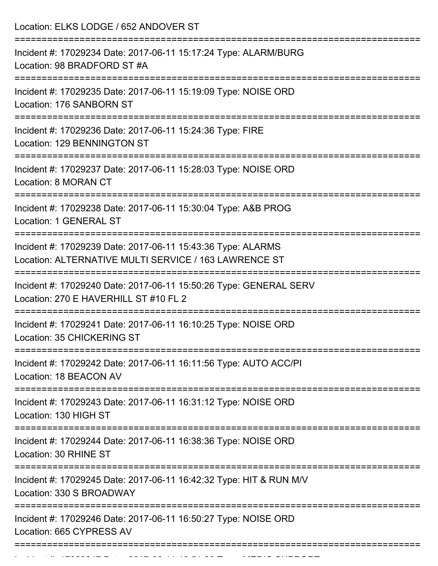| Incident #: 17029234 Date: 2017-06-11 15:17:24 Type: ALARM/BURG<br>Location: 98 BRADFORD ST #A                                                                                         |
|----------------------------------------------------------------------------------------------------------------------------------------------------------------------------------------|
| Incident #: 17029235 Date: 2017-06-11 15:19:09 Type: NOISE ORD<br>Location: 176 SANBORN ST                                                                                             |
| Incident #: 17029236 Date: 2017-06-11 15:24:36 Type: FIRE<br>Location: 129 BENNINGTON ST                                                                                               |
| Incident #: 17029237 Date: 2017-06-11 15:28:03 Type: NOISE ORD<br>Location: 8 MORAN CT                                                                                                 |
| Incident #: 17029238 Date: 2017-06-11 15:30:04 Type: A&B PROG<br>Location: 1 GENERAL ST                                                                                                |
| Incident #: 17029239 Date: 2017-06-11 15:43:36 Type: ALARMS<br>Location: ALTERNATIVE MULTI SERVICE / 163 LAWRENCE ST<br>==============================<br>---------------------------- |
| Incident #: 17029240 Date: 2017-06-11 15:50:26 Type: GENERAL SERV<br>Location: 270 E HAVERHILL ST #10 FL 2                                                                             |
| Incident #: 17029241 Date: 2017-06-11 16:10:25 Type: NOISE ORD<br>Location: 35 CHICKERING ST                                                                                           |
| Incident #: 17029242 Date: 2017-06-11 16:11:56 Type: AUTO ACC/PI<br>Location: 18 BEACON AV                                                                                             |
| Incident #: 17029243 Date: 2017-06-11 16:31:12 Type: NOISE ORD<br>Location: 130 HIGH ST                                                                                                |
| Incident #: 17029244 Date: 2017-06-11 16:38:36 Type: NOISE ORD<br>Location: 30 RHINE ST                                                                                                |
| Incident #: 17029245 Date: 2017-06-11 16:42:32 Type: HIT & RUN M/V<br>Location: 330 S BROADWAY                                                                                         |
| Incident #: 17029246 Date: 2017-06-11 16:50:27 Type: NOISE ORD<br>Location: 665 CYPRESS AV                                                                                             |

Incident #: 17029247 Date: 2017 06 11 16:51:20 Type: MEDIC SUPPORT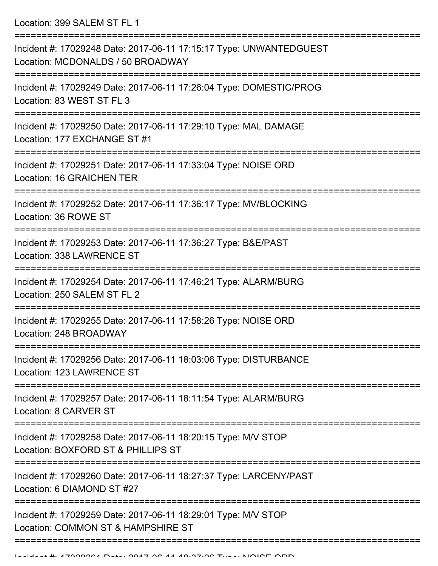Location: 399 SALEM ST FL 1

| Incident #: 17029248 Date: 2017-06-11 17:15:17 Type: UNWANTEDGUEST<br>Location: MCDONALDS / 50 BROADWAY<br>----------------- |
|------------------------------------------------------------------------------------------------------------------------------|
| Incident #: 17029249 Date: 2017-06-11 17:26:04 Type: DOMESTIC/PROG<br>Location: 83 WEST ST FL 3<br>======================    |
| Incident #: 17029250 Date: 2017-06-11 17:29:10 Type: MAL DAMAGE<br>Location: 177 EXCHANGE ST #1                              |
| Incident #: 17029251 Date: 2017-06-11 17:33:04 Type: NOISE ORD<br>Location: 16 GRAICHEN TER                                  |
| Incident #: 17029252 Date: 2017-06-11 17:36:17 Type: MV/BLOCKING<br>Location: 36 ROWE ST                                     |
| Incident #: 17029253 Date: 2017-06-11 17:36:27 Type: B&E/PAST<br>Location: 338 LAWRENCE ST                                   |
| Incident #: 17029254 Date: 2017-06-11 17:46:21 Type: ALARM/BURG<br>Location: 250 SALEM ST FL 2                               |
| Incident #: 17029255 Date: 2017-06-11 17:58:26 Type: NOISE ORD<br>Location: 248 BROADWAY                                     |
| Incident #: 17029256 Date: 2017-06-11 18:03:06 Type: DISTURBANCE<br>Location: 123 LAWRENCE ST                                |
| Incident #: 17029257 Date: 2017-06-11 18:11:54 Type: ALARM/BURG<br>Location: 8 CARVER ST                                     |
| Incident #: 17029258 Date: 2017-06-11 18:20:15 Type: M/V STOP<br>Location: BOXFORD ST & PHILLIPS ST                          |
| Incident #: 17029260 Date: 2017-06-11 18:27:37 Type: LARCENY/PAST<br>Location: 6 DIAMOND ST #27                              |
| Incident #: 17029259 Date: 2017-06-11 18:29:01 Type: M/V STOP<br>Location: COMMON ST & HAMPSHIRE ST                          |
|                                                                                                                              |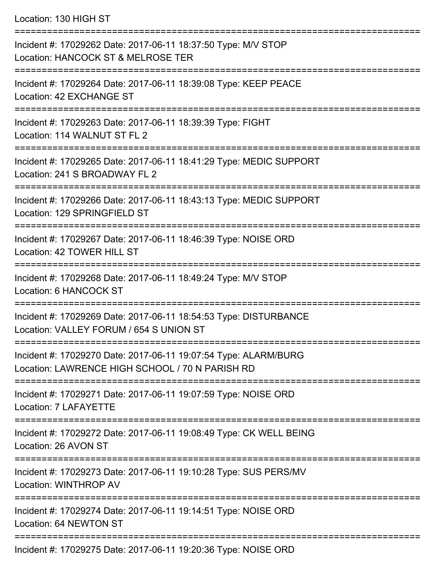Location: 130 HIGH ST

| Incident #: 17029262 Date: 2017-06-11 18:37:50 Type: M/V STOP<br>Location: HANCOCK ST & MELROSE TER                |
|--------------------------------------------------------------------------------------------------------------------|
| =================<br>Incident #: 17029264 Date: 2017-06-11 18:39:08 Type: KEEP PEACE<br>Location: 42 EXCHANGE ST   |
| Incident #: 17029263 Date: 2017-06-11 18:39:39 Type: FIGHT<br>Location: 114 WALNUT ST FL 2                         |
| Incident #: 17029265 Date: 2017-06-11 18:41:29 Type: MEDIC SUPPORT<br>Location: 241 S BROADWAY FL 2                |
| Incident #: 17029266 Date: 2017-06-11 18:43:13 Type: MEDIC SUPPORT<br>Location: 129 SPRINGFIELD ST                 |
| Incident #: 17029267 Date: 2017-06-11 18:46:39 Type: NOISE ORD<br>Location: 42 TOWER HILL ST                       |
| Incident #: 17029268 Date: 2017-06-11 18:49:24 Type: M/V STOP<br>Location: 6 HANCOCK ST                            |
| Incident #: 17029269 Date: 2017-06-11 18:54:53 Type: DISTURBANCE<br>Location: VALLEY FORUM / 654 S UNION ST        |
| Incident #: 17029270 Date: 2017-06-11 19:07:54 Type: ALARM/BURG<br>Location: LAWRENCE HIGH SCHOOL / 70 N PARISH RD |
| Incident #: 17029271 Date: 2017-06-11 19:07:59 Type: NOISE ORD<br>Location: 7 LAFAYETTE                            |
| Incident #: 17029272 Date: 2017-06-11 19:08:49 Type: CK WELL BEING<br>Location: 26 AVON ST                         |
| Incident #: 17029273 Date: 2017-06-11 19:10:28 Type: SUS PERS/MV<br>Location: WINTHROP AV                          |
| Incident #: 17029274 Date: 2017-06-11 19:14:51 Type: NOISE ORD<br>Location: 64 NEWTON ST                           |
| Incident #: 17029275 Date: 2017-06-11 19:20:36 Type: NOISE ORD                                                     |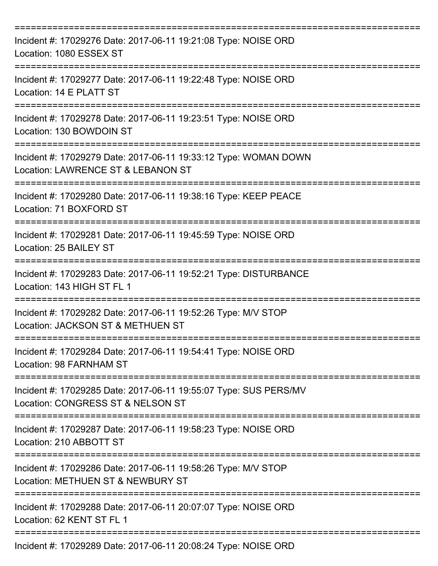| Incident #: 17029276 Date: 2017-06-11 19:21:08 Type: NOISE ORD<br>Location: 1080 ESSEX ST             |
|-------------------------------------------------------------------------------------------------------|
| Incident #: 17029277 Date: 2017-06-11 19:22:48 Type: NOISE ORD<br>Location: 14 E PLATT ST             |
| Incident #: 17029278 Date: 2017-06-11 19:23:51 Type: NOISE ORD<br>Location: 130 BOWDOIN ST            |
| Incident #: 17029279 Date: 2017-06-11 19:33:12 Type: WOMAN DOWN<br>Location: LAWRENCE ST & LEBANON ST |
| Incident #: 17029280 Date: 2017-06-11 19:38:16 Type: KEEP PEACE<br>Location: 71 BOXFORD ST            |
| Incident #: 17029281 Date: 2017-06-11 19:45:59 Type: NOISE ORD<br>Location: 25 BAILEY ST              |
| Incident #: 17029283 Date: 2017-06-11 19:52:21 Type: DISTURBANCE<br>Location: 143 HIGH ST FL 1        |
| Incident #: 17029282 Date: 2017-06-11 19:52:26 Type: M/V STOP<br>Location: JACKSON ST & METHUEN ST    |
| Incident #: 17029284 Date: 2017-06-11 19:54:41 Type: NOISE ORD<br>Location: 98 FARNHAM ST             |
| Incident #: 17029285 Date: 2017-06-11 19:55:07 Type: SUS PERS/MV<br>Location: CONGRESS ST & NELSON ST |
| Incident #: 17029287 Date: 2017-06-11 19:58:23 Type: NOISE ORD<br>Location: 210 ABBOTT ST             |
| Incident #: 17029286 Date: 2017-06-11 19:58:26 Type: M/V STOP<br>Location: METHUEN ST & NEWBURY ST    |
| Incident #: 17029288 Date: 2017-06-11 20:07:07 Type: NOISE ORD<br>Location: 62 KENT ST FL 1           |
| Incident #: 17029289 Date: 2017-06-11 20:08:24 Type: NOISE ORD                                        |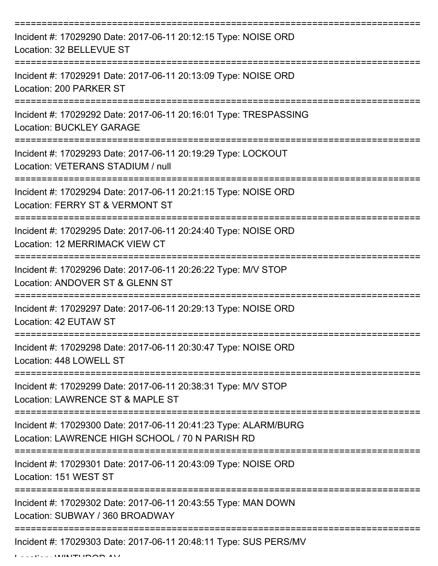| Incident #: 17029290 Date: 2017-06-11 20:12:15 Type: NOISE ORD<br>Location: 32 BELLEVUE ST                         |
|--------------------------------------------------------------------------------------------------------------------|
| Incident #: 17029291 Date: 2017-06-11 20:13:09 Type: NOISE ORD<br>Location: 200 PARKER ST                          |
| Incident #: 17029292 Date: 2017-06-11 20:16:01 Type: TRESPASSING<br><b>Location: BUCKLEY GARAGE</b>                |
| Incident #: 17029293 Date: 2017-06-11 20:19:29 Type: LOCKOUT<br>Location: VETERANS STADIUM / null                  |
| Incident #: 17029294 Date: 2017-06-11 20:21:15 Type: NOISE ORD<br>Location: FERRY ST & VERMONT ST                  |
| Incident #: 17029295 Date: 2017-06-11 20:24:40 Type: NOISE ORD<br>Location: 12 MERRIMACK VIEW CT                   |
| Incident #: 17029296 Date: 2017-06-11 20:26:22 Type: M/V STOP<br>Location: ANDOVER ST & GLENN ST                   |
| Incident #: 17029297 Date: 2017-06-11 20:29:13 Type: NOISE ORD<br>Location: 42 EUTAW ST                            |
| Incident #: 17029298 Date: 2017-06-11 20:30:47 Type: NOISE ORD<br>Location: 448 LOWELL ST                          |
| Incident #: 17029299 Date: 2017-06-11 20:38:31 Type: M/V STOP<br>Location: LAWRENCE ST & MAPLE ST                  |
| Incident #: 17029300 Date: 2017-06-11 20:41:23 Type: ALARM/BURG<br>Location: LAWRENCE HIGH SCHOOL / 70 N PARISH RD |
| Incident #: 17029301 Date: 2017-06-11 20:43:09 Type: NOISE ORD<br>Location: 151 WEST ST                            |
| Incident #: 17029302 Date: 2017-06-11 20:43:55 Type: MAN DOWN<br>Location: SUBWAY / 360 BROADWAY                   |
| Incident #: 17029303 Date: 2017-06-11 20:48:11 Type: SUS PERS/MV                                                   |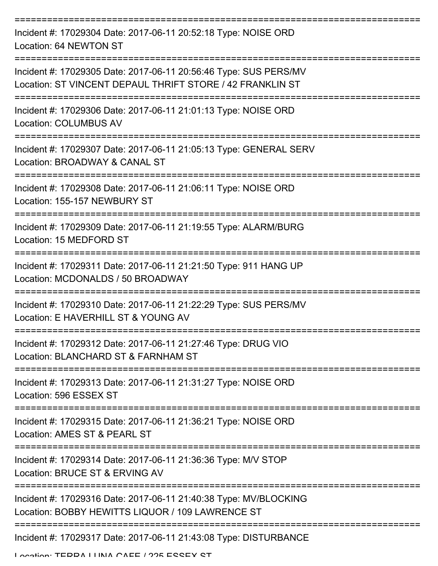| Incident #: 17029304 Date: 2017-06-11 20:52:18 Type: NOISE ORD<br>Location: 64 NEWTON ST                                      |
|-------------------------------------------------------------------------------------------------------------------------------|
| Incident #: 17029305 Date: 2017-06-11 20:56:46 Type: SUS PERS/MV<br>Location: ST VINCENT DEPAUL THRIFT STORE / 42 FRANKLIN ST |
| Incident #: 17029306 Date: 2017-06-11 21:01:13 Type: NOISE ORD<br><b>Location: COLUMBUS AV</b>                                |
| Incident #: 17029307 Date: 2017-06-11 21:05:13 Type: GENERAL SERV<br>Location: BROADWAY & CANAL ST                            |
| Incident #: 17029308 Date: 2017-06-11 21:06:11 Type: NOISE ORD<br>Location: 155-157 NEWBURY ST                                |
| Incident #: 17029309 Date: 2017-06-11 21:19:55 Type: ALARM/BURG<br>Location: 15 MEDFORD ST                                    |
| Incident #: 17029311 Date: 2017-06-11 21:21:50 Type: 911 HANG UP<br>Location: MCDONALDS / 50 BROADWAY                         |
| Incident #: 17029310 Date: 2017-06-11 21:22:29 Type: SUS PERS/MV<br>Location: E HAVERHILL ST & YOUNG AV                       |
| Incident #: 17029312 Date: 2017-06-11 21:27:46 Type: DRUG VIO<br>Location: BLANCHARD ST & FARNHAM ST                          |
| Incident #: 17029313 Date: 2017-06-11 21:31:27 Type: NOISE ORD<br>Location: 596 ESSEX ST                                      |
| Incident #: 17029315 Date: 2017-06-11 21:36:21 Type: NOISE ORD<br>Location: AMES ST & PEARL ST                                |
| Incident #: 17029314 Date: 2017-06-11 21:36:36 Type: M/V STOP<br>Location: BRUCE ST & ERVING AV                               |
| Incident #: 17029316 Date: 2017-06-11 21:40:38 Type: MV/BLOCKING<br>Location: BOBBY HEWITTS LIQUOR / 109 LAWRENCE ST          |
| Incident #: 17029317 Date: 2017-06-11 21:43:08 Type: DISTURBANCE                                                              |

Location: TEDDA LUNA CAFE / 225 ESSEY ST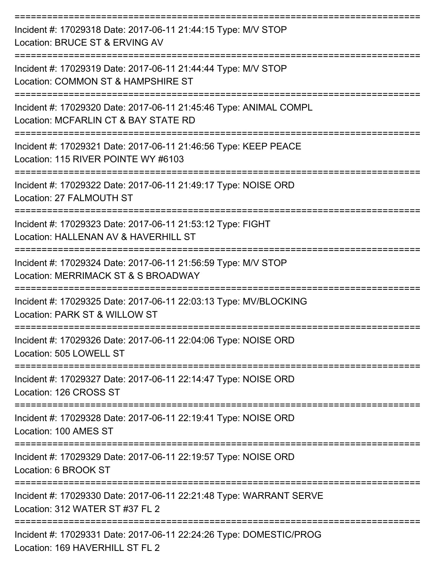| Incident #: 17029318 Date: 2017-06-11 21:44:15 Type: M/V STOP<br>Location: BRUCE ST & ERVING AV           |
|-----------------------------------------------------------------------------------------------------------|
| Incident #: 17029319 Date: 2017-06-11 21:44:44 Type: M/V STOP<br>Location: COMMON ST & HAMPSHIRE ST       |
| Incident #: 17029320 Date: 2017-06-11 21:45:46 Type: ANIMAL COMPL<br>Location: MCFARLIN CT & BAY STATE RD |
| Incident #: 17029321 Date: 2017-06-11 21:46:56 Type: KEEP PEACE<br>Location: 115 RIVER POINTE WY #6103    |
| Incident #: 17029322 Date: 2017-06-11 21:49:17 Type: NOISE ORD<br>Location: 27 FALMOUTH ST                |
| Incident #: 17029323 Date: 2017-06-11 21:53:12 Type: FIGHT<br>Location: HALLENAN AV & HAVERHILL ST        |
| Incident #: 17029324 Date: 2017-06-11 21:56:59 Type: M/V STOP<br>Location: MERRIMACK ST & S BROADWAY      |
| Incident #: 17029325 Date: 2017-06-11 22:03:13 Type: MV/BLOCKING<br>Location: PARK ST & WILLOW ST         |
| Incident #: 17029326 Date: 2017-06-11 22:04:06 Type: NOISE ORD<br>Location: 505 LOWELL ST                 |
| Incident #: 17029327 Date: 2017-06-11 22:14:47 Type: NOISE ORD<br>Location: 126 CROSS ST                  |
| Incident #: 17029328 Date: 2017-06-11 22:19:41 Type: NOISE ORD<br>Location: 100 AMES ST                   |
| Incident #: 17029329 Date: 2017-06-11 22:19:57 Type: NOISE ORD<br>Location: 6 BROOK ST                    |
| Incident #: 17029330 Date: 2017-06-11 22:21:48 Type: WARRANT SERVE<br>Location: 312 WATER ST #37 FL 2     |
| Incident #: 17029331 Date: 2017-06-11 22:24:26 Type: DOMESTIC/PROG<br>Location: 169 HAVERHILL ST FL 2     |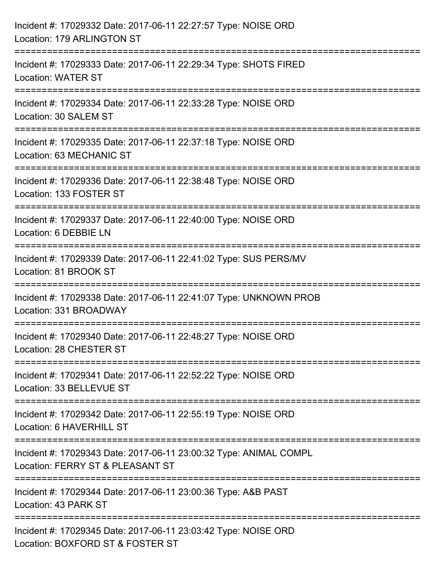| Incident #: 17029332 Date: 2017-06-11 22:27:57 Type: NOISE ORD<br>Location: 179 ARLINGTON ST                       |
|--------------------------------------------------------------------------------------------------------------------|
| Incident #: 17029333 Date: 2017-06-11 22:29:34 Type: SHOTS FIRED<br><b>Location: WATER ST</b>                      |
| Incident #: 17029334 Date: 2017-06-11 22:33:28 Type: NOISE ORD<br>Location: 30 SALEM ST<br>;====================== |
| Incident #: 17029335 Date: 2017-06-11 22:37:18 Type: NOISE ORD<br>Location: 63 MECHANIC ST                         |
| Incident #: 17029336 Date: 2017-06-11 22:38:48 Type: NOISE ORD<br>Location: 133 FOSTER ST                          |
| Incident #: 17029337 Date: 2017-06-11 22:40:00 Type: NOISE ORD<br>Location: 6 DEBBIE LN                            |
| Incident #: 17029339 Date: 2017-06-11 22:41:02 Type: SUS PERS/MV<br>Location: 81 BROOK ST                          |
| Incident #: 17029338 Date: 2017-06-11 22:41:07 Type: UNKNOWN PROB<br>Location: 331 BROADWAY                        |
| Incident #: 17029340 Date: 2017-06-11 22:48:27 Type: NOISE ORD<br>Location: 28 CHESTER ST                          |
| Incident #: 17029341 Date: 2017-06-11 22:52:22 Type: NOISE ORD<br>Location: 33 BELLEVUE ST                         |
| Incident #: 17029342 Date: 2017-06-11 22:55:19 Type: NOISE ORD<br>Location: 6 HAVERHILL ST                         |
| Incident #: 17029343 Date: 2017-06-11 23:00:32 Type: ANIMAL COMPL<br>Location: FERRY ST & PLEASANT ST              |
| Incident #: 17029344 Date: 2017-06-11 23:00:36 Type: A&B PAST<br>Location: 43 PARK ST                              |
| Incident #: 17029345 Date: 2017-06-11 23:03:42 Type: NOISE ORD<br>Location: BOXFORD ST & FOSTER ST                 |